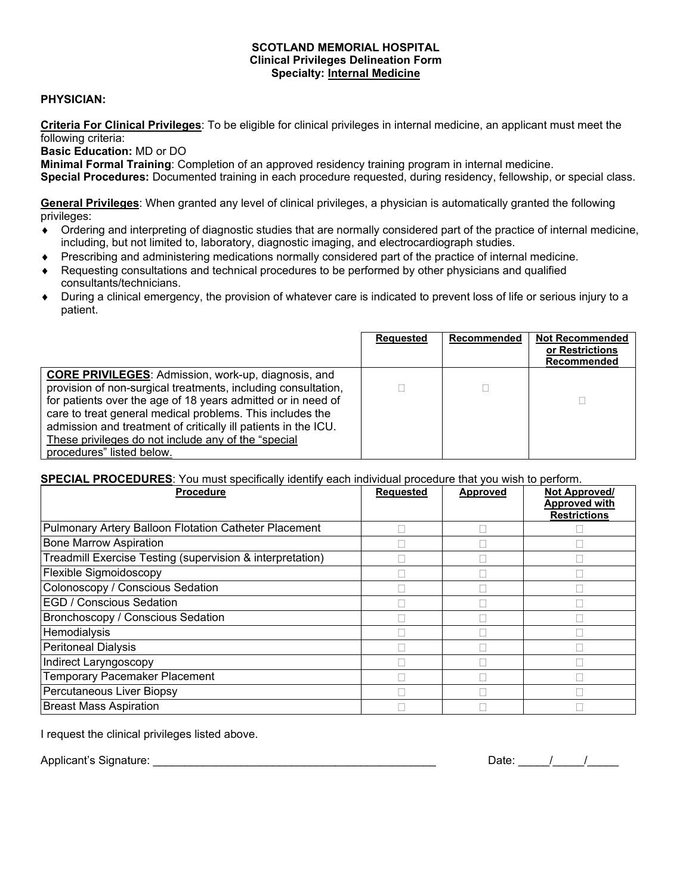## **SCOTLAND MEMORIAL HOSPITAL Clinical Privileges Delineation Form Specialty: Internal Medicine**

## **PHYSICIAN:**

**Criteria For Clinical Privileges**: To be eligible for clinical privileges in internal medicine, an applicant must meet the following criteria:

**Basic Education:** MD or DO

**Minimal Formal Training**: Completion of an approved residency training program in internal medicine.

**Special Procedures:** Documented training in each procedure requested, during residency, fellowship, or special class.

**General Privileges**: When granted any level of clinical privileges, a physician is automatically granted the following privileges:

- ♦ Ordering and interpreting of diagnostic studies that are normally considered part of the practice of internal medicine, including, but not limited to, laboratory, diagnostic imaging, and electrocardiograph studies.
- ♦ Prescribing and administering medications normally considered part of the practice of internal medicine.
- Requesting consultations and technical procedures to be performed by other physicians and qualified consultants/technicians.
- During a clinical emergency, the provision of whatever care is indicated to prevent loss of life or serious injury to a patient.

|                                                                                                                                                                                                                                                                                                                                                                                                                | Requested | Recommended | <b>Not Recommended</b><br>or Restrictions<br>Recommended |
|----------------------------------------------------------------------------------------------------------------------------------------------------------------------------------------------------------------------------------------------------------------------------------------------------------------------------------------------------------------------------------------------------------------|-----------|-------------|----------------------------------------------------------|
| <b>CORE PRIVILEGES:</b> Admission, work-up, diagnosis, and<br>provision of non-surgical treatments, including consultation,<br>for patients over the age of 18 years admitted or in need of<br>care to treat general medical problems. This includes the<br>admission and treatment of critically ill patients in the ICU.<br>These privileges do not include any of the "special<br>procedures" listed below. |           |             |                                                          |

## **SPECIAL PROCEDURES**: You must specifically identify each individual procedure that you wish to perform.

| <b>Procedure</b>                                          | <b>Requested</b> | <b>Approved</b> | <b>Not Approved/</b><br><b>Approved with</b> |
|-----------------------------------------------------------|------------------|-----------------|----------------------------------------------|
|                                                           |                  |                 | <b>Restrictions</b>                          |
| Pulmonary Artery Balloon Flotation Catheter Placement     |                  |                 |                                              |
| <b>Bone Marrow Aspiration</b>                             |                  |                 |                                              |
| Treadmill Exercise Testing (supervision & interpretation) |                  |                 |                                              |
| Flexible Sigmoidoscopy                                    |                  |                 |                                              |
| Colonoscopy / Conscious Sedation                          |                  |                 |                                              |
| <b>EGD / Conscious Sedation</b>                           |                  |                 |                                              |
| Bronchoscopy / Conscious Sedation                         |                  |                 |                                              |
| Hemodialysis                                              |                  |                 |                                              |
| <b>Peritoneal Dialysis</b>                                |                  |                 |                                              |
| Indirect Laryngoscopy                                     |                  |                 |                                              |
| <b>Temporary Pacemaker Placement</b>                      |                  |                 |                                              |
| Percutaneous Liver Biopsy                                 |                  |                 |                                              |
| <b>Breast Mass Aspiration</b>                             |                  |                 |                                              |

I request the clinical privileges listed above.

Applicant's Signature: \_\_\_\_\_\_\_\_\_\_\_\_\_\_\_\_\_\_\_\_\_\_\_\_\_\_\_\_\_\_\_\_\_\_\_\_\_\_\_\_\_\_\_\_\_ Date: \_\_\_\_\_/\_\_\_\_\_/\_\_\_\_\_